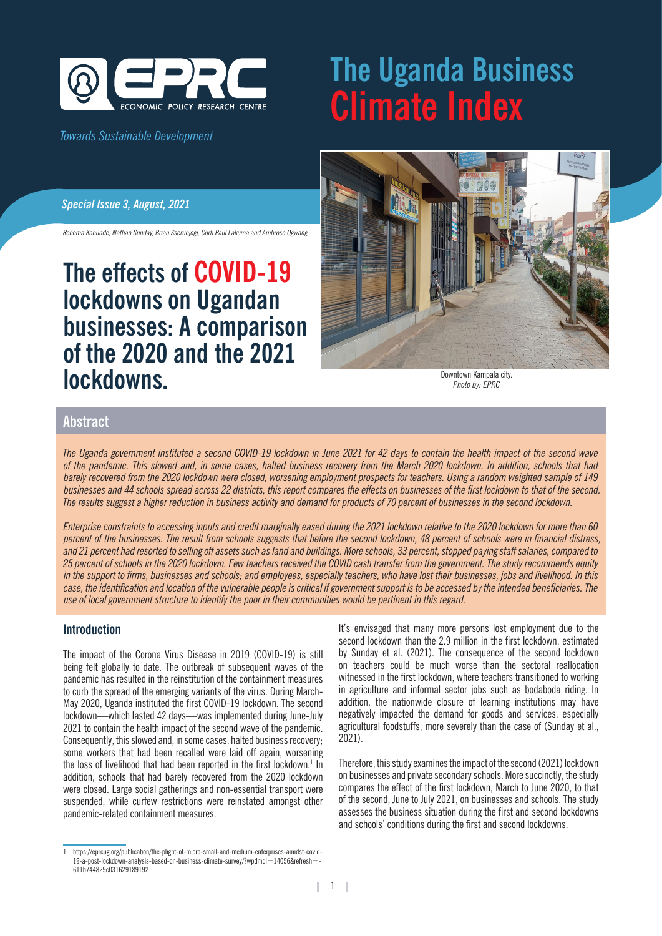

#### *Towards Sustainable Development*

# **The Uganda Business Climate Index**

#### *Special Issue 3, August, 2021*

*Rehema Kahunde, Nathan Sunday, Brian Sserunjogi, Corti Paul Lakuma and Ambrose Ogwang*

## **The effects of COVID-19 lockdowns on Ugandan businesses: A comparison of the 2020 and the 2021 lockdowns.**



Downtown Kampala city. *Photo by: EPRC*

### **Abstract**

*The Uganda government instituted a second COVID-19 lockdown in June 2021 for 42 days to contain the health impact of the second wave of the pandemic. This slowed and, in some cases, halted business recovery from the March 2020 lockdown. In addition, schools that had barely recovered from the 2020 lockdown were closed, worsening employment prospects for teachers. Using a random weighted sample of 149 businesses and 44 schools spread across 22 districts, this report compares the effects on businesses of the first lockdown to that of the second. The results suggest a higher reduction in business activity and demand for products of 70 percent of businesses in the second lockdown.* 

*Enterprise constraints to accessing inputs and credit marginally eased during the 2021 lockdown relative to the 2020 lockdown for more than 60 percent of the businesses. The result from schools suggests that before the second lockdown, 48 percent of schools were in financial distress, and 21 percent had resorted to selling off assets such as land and buildings. More schools, 33 percent, stopped paying staff salaries, compared to 25 percent of schools in the 2020 lockdown. Few teachers received the COVID cash transfer from the government. The study recommends equity in the support to firms, businesses and schools; and employees, especially teachers, who have lost their businesses, jobs and livelihood. In this case, the identification and location of the vulnerable people is critical if government support is to be accessed by the intended beneficiaries. The use of local government structure to identify the poor in their communities would be pertinent in this regard.* 

#### **Introduction**

The impact of the Corona Virus Disease in 2019 (COVID-19) is still being felt globally to date. The outbreak of subsequent waves of the pandemic has resulted in the reinstitution of the containment measures to curb the spread of the emerging variants of the virus. During March-May 2020, Uganda instituted the first COVID-19 lockdown. The second lockdown—which lasted 42 days—was implemented during June-July 2021 to contain the health impact of the second wave of the pandemic. Consequently, this slowed and, in some cases, halted business recovery; some workers that had been recalled were laid off again, worsening the loss of livelihood that had been reported in the first lockdown.1 In addition, schools that had barely recovered from the 2020 lockdown were closed. Large social gatherings and non-essential transport were suspended, while curfew restrictions were reinstated amongst other pandemic-related containment measures.

It's envisaged that many more persons lost employment due to the second lockdown than the 2.9 million in the first lockdown, estimated by Sunday et al. (2021). The consequence of the second lockdown on teachers could be much worse than the sectoral reallocation witnessed in the first lockdown, where teachers transitioned to working in agriculture and informal sector jobs such as bodaboda riding. In addition, the nationwide closure of learning institutions may have negatively impacted the demand for goods and services, especially agricultural foodstuffs, more severely than the case of (Sunday et al., 2021).

Therefore, this study examines the impact of the second (2021) lockdown on businesses and private secondary schools. More succinctly, the study compares the effect of the first lockdown, March to June 2020, to that of the second, June to July 2021, on businesses and schools. The study assesses the business situation during the first and second lockdowns and schools' conditions during the first and second lockdowns.

<sup>1</sup> https://eprcug.org/publication/the-plight-of-micro-small-and-medium-enterprises-amidst-covid-19-a-post-lockdown-analysis-based-on-business-climate-survey/?wpdmdl=14056&refresh=- 611b744829c031629189192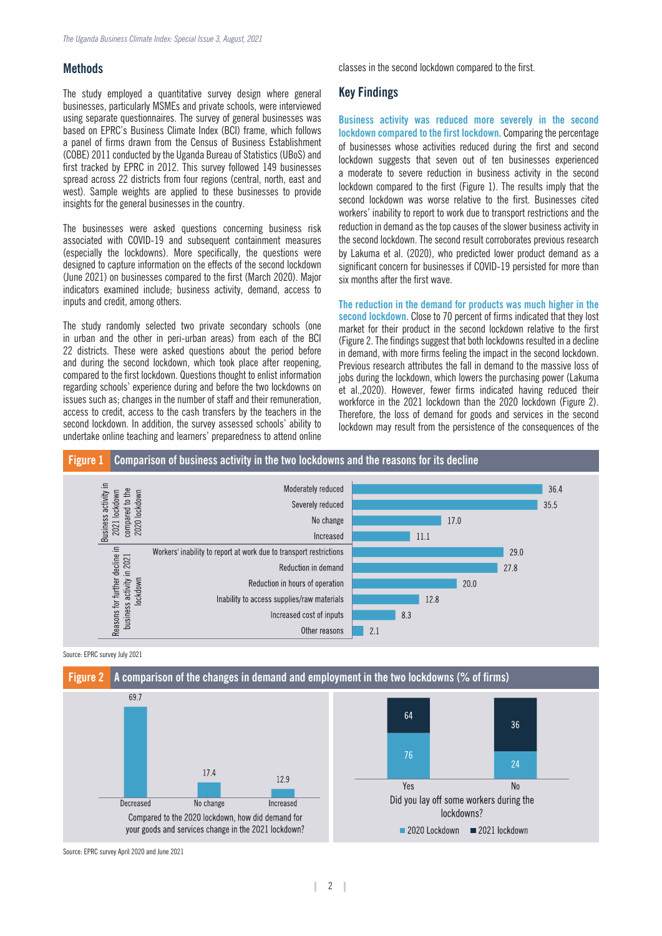#### **Methods**

The study employed a quantitative survey design where general businesses, particularly MSMEs and private schools, were interviewed using separate questionnaires. The survey of general businesses was based on EPRC's Business Climate Index (BCI) frame, which follows a panel of firms drawn from the Census of Business Establishment (COBE) 2011 conducted by the Uganda Bureau of Statistics (UBoS) and first tracked by EPRC in 2012. This survey followed 149 businesses spread across 22 districts from four regions (central, north, east and west). Sample weights are applied to these businesses to provide insights for the general businesses in the country.

The businesses were asked questions concerning business risk associated with COVID-19 and subsequent containment measures (especially the lockdowns). More specifically, the questions were designed to capture information on the effects of the second lockdown (June 2021) on businesses compared to the first (March 2020). Major indicators examined include; business activity, demand, access to inputs and credit, among others.

The study randomly selected two private secondary schools (one in urban and the other in peri-urban areas) from each of the BCI 22 districts. These were asked questions about the period before and during the second lockdown, which took place after reopening, compared to the first lockdown. Questions thought to enlist information regarding schools' experience during and before the two lockdowns on issues such as; changes in the number of staff and their remuneration, access to credit, access to the cash transfers by the teachers in the second lockdown. In addition, the survey assessed schools' ability to undertake online teaching and learners' preparedness to attend online

classes in the second lockdown compared to the first.

#### **Key Findings**

**Business activity was reduced more severely in the second lockdown compared to the first lockdown.** Comparing the percentage of businesses whose activities reduced during the first and second lockdown suggests that seven out of ten businesses experienced a moderate to severe reduction in business activity in the second lockdown compared to the first (Figure 1). The results imply that the second lockdown was worse relative to the first. Businesses cited workers' inability to report to work due to transport restrictions and the reduction in demand as the top causes of the slower business activity in the second lockdown. The second result corroborates previous research by Lakuma et al. (2020), who predicted lower product demand as a significant concern for businesses if COVID-19 persisted for more than six months after the first wave.

**The reduction in the demand for products was much higher in the second lockdown.** Close to 70 percent of firms indicated that they lost market for their product in the second lockdown relative to the first (Figure 2. The findings suggest that both lockdowns resulted in a decline in demand, with more firms feeling the impact in the second lockdown. Previous research attributes the fall in demand to the massive loss of jobs during the lockdown, which lowers the purchasing power (Lakuma et al.,2020). However, fewer firms indicated having reduced their workforce in the 2021 lockdown than the 2020 lockdown (Figure 2). Therefore, the loss of demand for goods and services in the second lockdown may result from the persistence of the consequences of the



Source: EPRC survey July 2021



Source: EPRC survey April 2020 and June 2021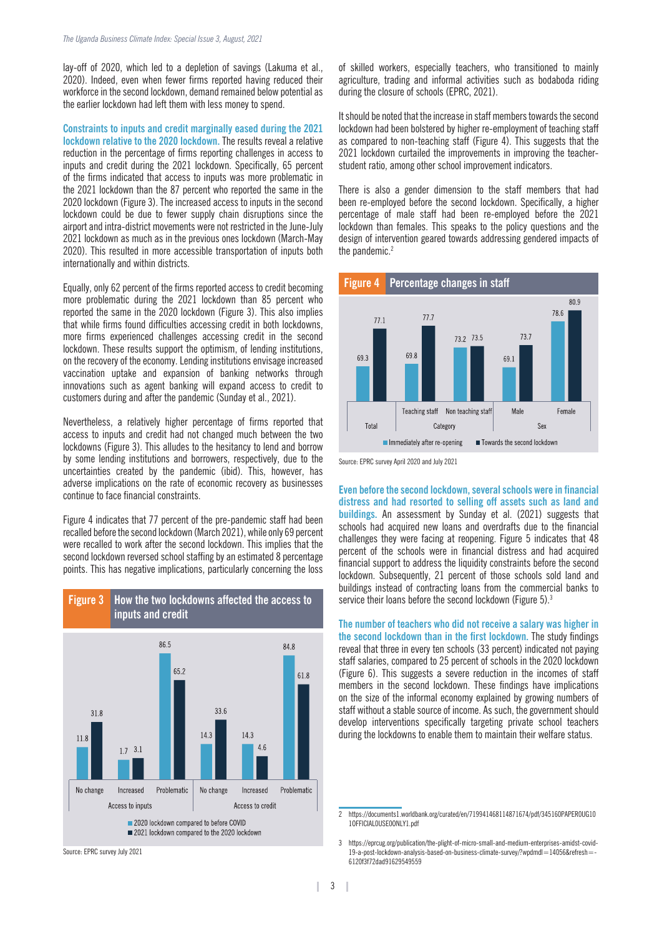lay-off of 2020, which led to a depletion of savings (Lakuma et al., 2020). Indeed, even when fewer firms reported having reduced their workforce in the second lockdown, demand remained below potential as the earlier lockdown had left them with less money to spend.

**Constraints to inputs and credit marginally eased during the 2021 lockdown relative to the 2020 lockdown.** The results reveal a relative reduction in the percentage of firms reporting challenges in access to inputs and credit during the 2021 lockdown. Specifically, 65 percent of the firms indicated that access to inputs was more problematic in the 2021 lockdown than the 87 percent who reported the same in the 2020 lockdown (Figure 3). The increased access to inputs in the second lockdown could be due to fewer supply chain disruptions since the airport and intra-district movements were not restricted in the June-July 2021 lockdown as much as in the previous ones lockdown (March-May 2020). This resulted in more accessible transportation of inputs both internationally and within districts.

Equally, only 62 percent of the firms reported access to credit becoming more problematic during the 2021 lockdown than 85 percent who reported the same in the 2020 lockdown (Figure 3). This also implies that while firms found difficulties accessing credit in both lockdowns, more firms experienced challenges accessing credit in the second lockdown. These results support the optimism, of lending institutions, on the recovery of the economy. Lending institutions envisage increased vaccination uptake and expansion of banking networks through innovations such as agent banking will expand access to credit to customers during and after the pandemic (Sunday et al., 2021).

Nevertheless, a relatively higher percentage of firms reported that access to inputs and credit had not changed much between the two lockdowns (Figure 3). This alludes to the hesitancy to lend and borrow by some lending institutions and borrowers, respectively, due to the uncertainties created by the pandemic (ibid). This, however, has adverse implications on the rate of economic recovery as businesses continue to face financial constraints.

Figure 4 indicates that 77 percent of the pre-pandemic staff had been recalled before the second lockdown (March 2021), while only 69 percent were recalled to work after the second lockdown. This implies that the second lockdown reversed school staffing by an estimated 8 percentage points. This has negative implications, particularly concerning the loss

**Figure 3 How the two lockdowns affected the access to** 



Source: EPRC survey July 2021

of skilled workers, especially teachers, who transitioned to mainly agriculture, trading and informal activities such as bodaboda riding during the closure of schools (EPRC, 2021).

It should be noted that the increase in staff members towards the second lockdown had been bolstered by higher re-employment of teaching staff as compared to non-teaching staff (Figure 4). This suggests that the 2021 lockdown curtailed the improvements in improving the teacherstudent ratio, among other school improvement indicators.

There is also a gender dimension to the staff members that had been re-employed before the second lockdown. Specifically, a higher percentage of male staff had been re-employed before the 2021 lockdown than females. This speaks to the policy questions and the design of intervention geared towards addressing gendered impacts of the pandemic.<sup>2</sup>



Source: EPRC survey April 2020 and July 2021

**Even before the second lockdown, several schools were in financial distress and had resorted to selling off assets such as land and buildings.** An assessment by Sunday et al. (2021) suggests that schools had acquired new loans and overdrafts due to the financial challenges they were facing at reopening. Figure 5 indicates that 48 percent of the schools were in financial distress and had acquired financial support to address the liquidity constraints before the second lockdown. Subsequently, 21 percent of those schools sold land and buildings instead of contracting loans from the commercial banks to service their loans before the second lockdown (Figure 5).<sup>3</sup>

**The number of teachers who did not receive a salary was higher in the second lockdown than in the first lockdown.** The study findings reveal that three in every ten schools (33 percent) indicated not paying staff salaries, compared to 25 percent of schools in the 2020 lockdown (Figure 6). This suggests a severe reduction in the incomes of staff members in the second lockdown. These findings have implications on the size of the informal economy explained by growing numbers of staff without a stable source of income. As such, the government should develop interventions specifically targeting private school teachers during the lockdowns to enable them to maintain their welfare status.

I

<sup>2</sup> https://documents1.worldbank.org/curated/en/719941468114871674/pdf/345160PAPER0UG10 1OFFICIAL0USE0ONLY1.pdf

<sup>3</sup> https://eprcug.org/publication/the-plight-of-micro-small-and-medium-enterprises-amidst-covid-19-a-post-lockdown-analysis-based-on-business-climate-survey/?wpdmdl=14056&refresh=- 6120f3f72dad91629549559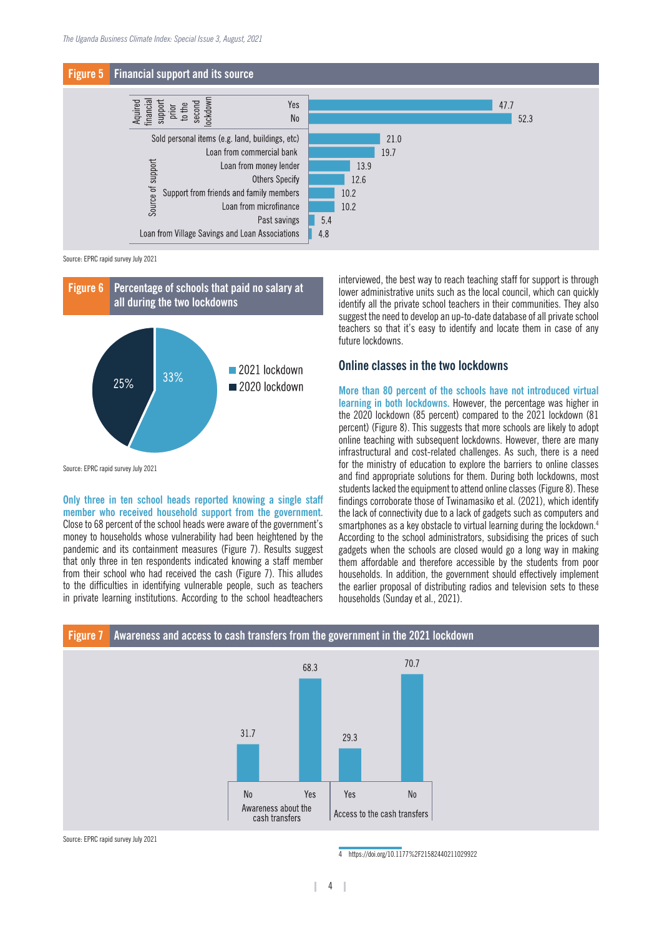

Source: EPRC rapid survey July 2021



**Only three in ten school heads reported knowing a single staff member who received household support from the government.**  Close to 68 percent of the school heads were aware of the government's money to households whose vulnerability had been heightened by the pandemic and its containment measures (Figure 7). Results suggest that only three in ten respondents indicated knowing a staff member from their school who had received the cash (Figure 7). This alludes to the difficulties in identifying vulnerable people, such as teachers in private learning institutions. According to the school headteachers interviewed, the best way to reach teaching staff for support is through lower administrative units such as the local council, which can quickly identify all the private school teachers in their communities. They also suggest the need to develop an up-to-date database of all private school teachers so that it's easy to identify and locate them in case of any future lockdowns.

#### **Online classes in the two lockdowns**

**More than 80 percent of the schools have not introduced virtual learning in both lockdowns.** However, the percentage was higher in the 2020 lockdown (85 percent) compared to the 2021 lockdown (81 percent) (Figure 8). This suggests that more schools are likely to adopt online teaching with subsequent lockdowns. However, there are many infrastructural and cost-related challenges. As such, there is a need for the ministry of education to explore the barriers to online classes and find appropriate solutions for them. During both lockdowns, most students lacked the equipment to attend online classes (Figure 8). These findings corroborate those of Twinamasiko et al. (2021), which identify the lack of connectivity due to a lack of gadgets such as computers and smartphones as a key obstacle to virtual learning during the lockdown.<sup>4</sup> According to the school administrators, subsidising the prices of such gadgets when the schools are closed would go a long way in making them affordable and therefore accessible by the students from poor households. In addition, the government should effectively implement the earlier proposal of distributing radios and television sets to these households (Sunday et al., 2021).



#### Source: EPRC rapid survey July 2021

4 https://doi.org/10.1177%2F21582440211029922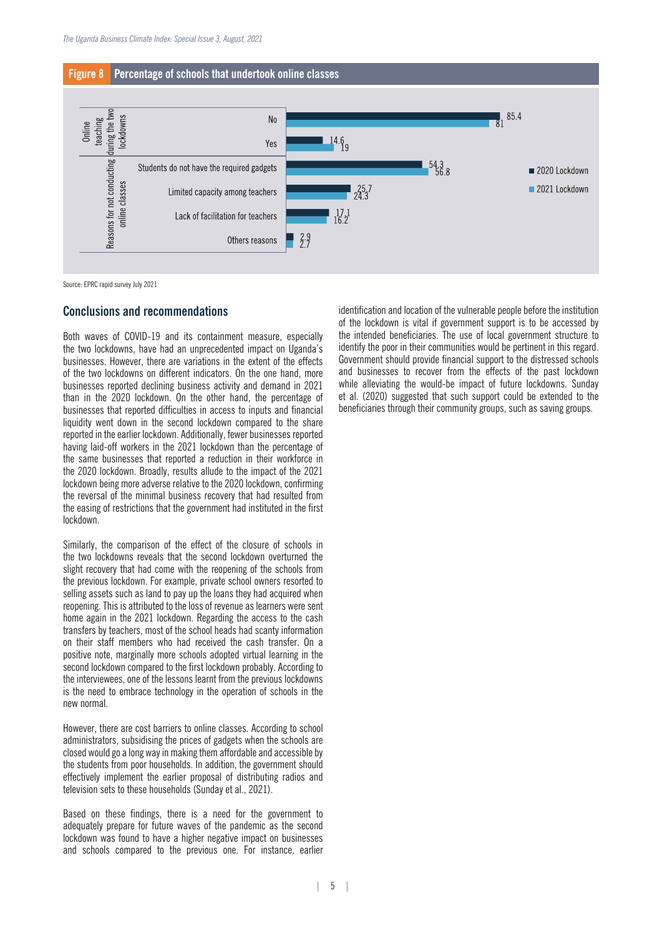



Source: EPRC rapid survey July 2021

#### **Conclusions and recommendations**

Both waves of COVID-19 and its containment measure, especially the two lockdowns, have had an unprecedented impact on Uganda's businesses. However, there are variations in the extent of the effects of the two lockdowns on different indicators. On the one hand, more businesses reported declining business activity and demand in 2021 than in the 2020 lockdown. On the other hand, the percentage of businesses that reported difficulties in access to inputs and financial liquidity went down in the second lockdown compared to the share reported in the earlier lockdown. Additionally, fewer businesses reported having laid-off workers in the 2021 lockdown than the percentage of the same businesses that reported a reduction in their workforce in the 2020 lockdown. Broadly, results allude to the impact of the 2021 lockdown being more adverse relative to the 2020 lockdown, confirming the reversal of the minimal business recovery that had resulted from the easing of restrictions that the government had instituted in the first lockdown.

Similarly, the comparison of the effect of the closure of schools in the two lockdowns reveals that the second lockdown overturned the slight recovery that had come with the reopening of the schools from the previous lockdown. For example, private school owners resorted to selling assets such as land to pay up the loans they had acquired when reopening. This is attributed to the loss of revenue as learners were sent home again in the 2021 lockdown. Regarding the access to the cash transfers by teachers, most of the school heads had scanty information on their staff members who had received the cash transfer. On a positive note, marginally more schools adopted virtual learning in the second lockdown compared to the first lockdown probably. According to the interviewees, one of the lessons learnt from the previous lockdowns is the need to embrace technology in the operation of schools in the new normal.

However, there are cost barriers to online classes. According to school administrators, subsidising the prices of gadgets when the schools are closed would go a long way in making them affordable and accessible by the students from poor households. In addition, the government should effectively implement the earlier proposal of distributing radios and television sets to these households (Sunday et al., 2021).

Based on these findings, there is a need for the government to adequately prepare for future waves of the pandemic as the second lockdown was found to have a higher negative impact on businesses and schools compared to the previous one. For instance, earlier

identification and location of the vulnerable people before the institution of the lockdown is vital if government support is to be accessed by the intended beneficiaries. The use of local government structure to identify the poor in their communities would be pertinent in this regard. Government should provide financial support to the distressed schools and businesses to recover from the effects of the past lockdown while alleviating the would-be impact of future lockdowns. Sunday et al. (2020) suggested that such support could be extended to the beneficiaries through their community groups, such as saving groups.